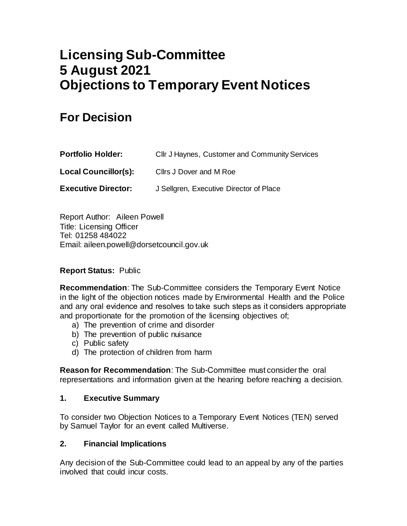# **Licensing Sub-Committee 5 August 2021 Objections to Temporary Event Notices**

# **For Decision**

| <b>Portfolio Holder:</b>    | Cllr J Haynes, Customer and Community Services |
|-----------------------------|------------------------------------------------|
| <b>Local Councillor(s):</b> | Cllrs J Dover and M Roe                        |
| <b>Executive Director:</b>  | J Sellgren, Executive Director of Place        |

Report Author: Aileen Powell Title: Licensing Officer Tel: 01258 484022 Email: aileen.powell@dorsetcouncil.gov.uk

# **Report Status:** Public

**Recommendation**: The Sub-Committee considers the Temporary Event Notice in the light of the objection notices made by Environmental Health and the Police and any oral evidence and resolves to take such steps as it considers appropriate and proportionate for the promotion of the licensing objectives of;

- a) The prevention of crime and disorder
- b) The prevention of public nuisance
- c) Public safety
- d) The protection of children from harm

**Reason for Recommendation**: The Sub-Committee must consider the oral representations and information given at the hearing before reaching a decision. 

#### **1. Executive Summary**

To consider two Objection Notices to a Temporary Event Notices (TEN) served by Samuel Taylor for an event called Multiverse.

#### **2. Financial Implications**

Any decision of the Sub-Committee could lead to an appeal by any of the parties involved that could incur costs.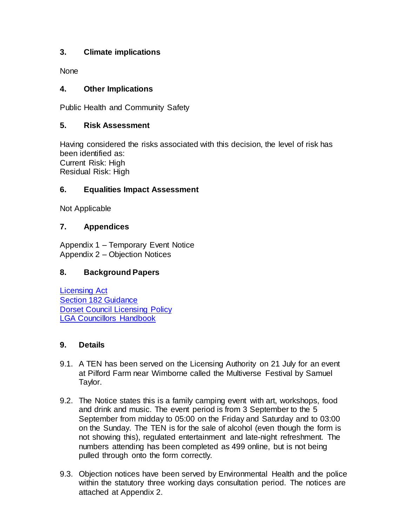# **3. Climate implications**

None

# **4. Other Implications**

Public Health and Community Safety

## **5. Risk Assessment**

Having considered the risks associated with this decision, the level of risk has been identified as: Current Risk: High Residual Risk: High

## **6. Equalities Impact Assessment**

Not Applicable

## **7. Appendices**

Appendix 1 – Temporary Event Notice Appendix 2 – Objection Notices

# **8. Background Papers**

[Licensing Act](http://www.legislation.gov.uk/ukpga/2003/17/part/3/crossheading/variation-of-licences) [Section 182 Guidance](https://assets.publishing.service.gov.uk/government/uploads/system/uploads/attachment_data/file/705588/Revised_guidance_issued_under_section_182_of_the_Licensing_Act_2003__April_2018_.pdf) [Dorset Council Licensing Policy](https://www.dorsetcouncil.gov.uk/business-consumers-licences/licences-and-permits/alcohol-and-entertainment-licences/pdfs/statement-of-licensing-policies/dorset-council-statement-of-licensing-policy-final-01-02-2020.pdf) [LGA Councillors Handbook](https://www.local.gov.uk/sites/default/files/documents/10%2036_Licensing_Act_2003_V04%203_1.pdf)

#### **9. Details**

- 9.1. A TEN has been served on the Licensing Authority on 21 July for an event at Pilford Farm near Wimborne called the Multiverse Festival by Samuel Taylor.
- 9.2. The Notice states this is a family camping event with art, workshops, food and drink and music. The event period is from 3 September to the 5 September from midday to 05:00 on the Friday and Saturday and to 03:00 on the Sunday. The TEN is for the sale of alcohol (even though the form is not showing this), regulated entertainment and late-night refreshment. The numbers attending has been completed as 499 online, but is not being pulled through onto the form correctly.
- 9.3. Objection notices have been served by Environmental Health and the police within the statutory three working days consultation period. The notices are attached at Appendix 2.